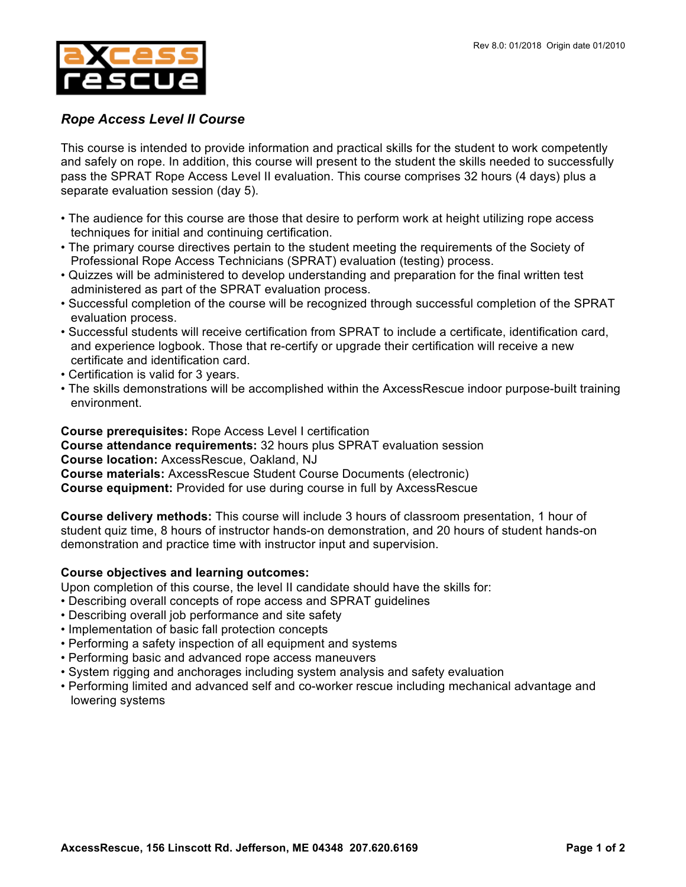

## *Rope Access Level II Course*

This course is intended to provide information and practical skills for the student to work competently and safely on rope. In addition, this course will present to the student the skills needed to successfully pass the SPRAT Rope Access Level II evaluation. This course comprises 32 hours (4 days) plus a separate evaluation session (day 5).

- The audience for this course are those that desire to perform work at height utilizing rope access techniques for initial and continuing certification.
- The primary course directives pertain to the student meeting the requirements of the Society of Professional Rope Access Technicians (SPRAT) evaluation (testing) process.
- Quizzes will be administered to develop understanding and preparation for the final written test administered as part of the SPRAT evaluation process.
- Successful completion of the course will be recognized through successful completion of the SPRAT evaluation process.
- Successful students will receive certification from SPRAT to include a certificate, identification card, and experience logbook. Those that re-certify or upgrade their certification will receive a new certificate and identification card.
- Certification is valid for 3 years.
- The skills demonstrations will be accomplished within the AxcessRescue indoor purpose-built training environment.

**Course prerequisites:** Rope Access Level I certification

**Course attendance requirements:** 32 hours plus SPRAT evaluation session

**Course location:** AxcessRescue, Oakland, NJ

**Course materials:** AxcessRescue Student Course Documents (electronic)

**Course equipment:** Provided for use during course in full by AxcessRescue

**Course delivery methods:** This course will include 3 hours of classroom presentation, 1 hour of student quiz time, 8 hours of instructor hands-on demonstration, and 20 hours of student hands-on demonstration and practice time with instructor input and supervision.

## **Course objectives and learning outcomes:**

Upon completion of this course, the level II candidate should have the skills for:

- Describing overall concepts of rope access and SPRAT guidelines
- Describing overall job performance and site safety
- Implementation of basic fall protection concepts
- Performing a safety inspection of all equipment and systems
- Performing basic and advanced rope access maneuvers
- System rigging and anchorages including system analysis and safety evaluation
- Performing limited and advanced self and co-worker rescue including mechanical advantage and lowering systems